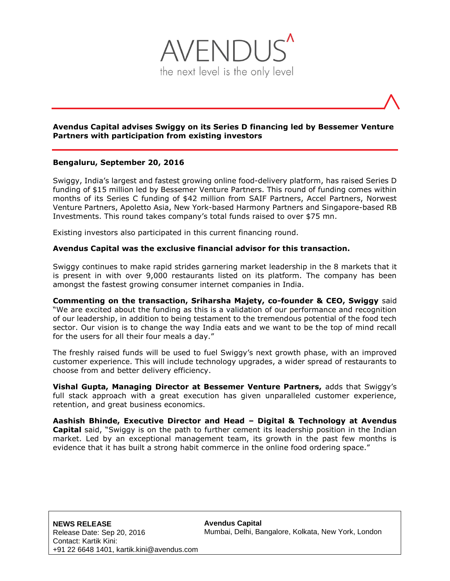

# **Avendus Capital advises Swiggy on its Series D financing led by Bessemer Venture Partners with participation from existing investors**

# **Bengaluru, September 20, 2016**

Swiggy, India's largest and fastest growing online food-delivery platform, has raised Series D funding of \$15 million led by Bessemer Venture Partners. This round of funding comes within months of its Series C funding of \$42 million from SAIF Partners, Accel Partners, Norwest Venture Partners, Apoletto Asia, New York-based Harmony Partners and Singapore-based RB Investments. This round takes company's total funds raised to over \$75 mn.

Existing investors also participated in this current financing round.

#### **Avendus Capital was the exclusive financial advisor for this transaction.**

Swiggy continues to make rapid strides garnering market leadership in the 8 markets that it is present in with over 9,000 restaurants listed on its platform. The company has been amongst the fastest growing consumer internet companies in India.

**Commenting on the transaction, Sriharsha Majety, co-founder & CEO, Swiggy** said "We are excited about the funding as this is a validation of our performance and recognition of our leadership, in addition to being testament to the tremendous potential of the food tech sector. Our vision is to change the way India eats and we want to be the top of mind recall for the users for all their four meals a day."

The freshly raised funds will be used to fuel Swiggy's next growth phase, with an improved customer experience. This will include technology upgrades, a wider spread of restaurants to choose from and better delivery efficiency.

**Vishal Gupta, Managing Director at Bessemer Venture Partners,** adds that Swiggy's full stack approach with a great execution has given unparalleled customer experience, retention, and great business economics.

**Aashish Bhinde, Executive Director and Head – Digital & Technology at Avendus Capital** said, "Swiggy is on the path to further cement its leadership position in the Indian market. Led by an exceptional management team, its growth in the past few months is evidence that it has built a strong habit commerce in the online food ordering space."

**Avendus Capital** Mumbai, Delhi, Bangalore, Kolkata, New York, London